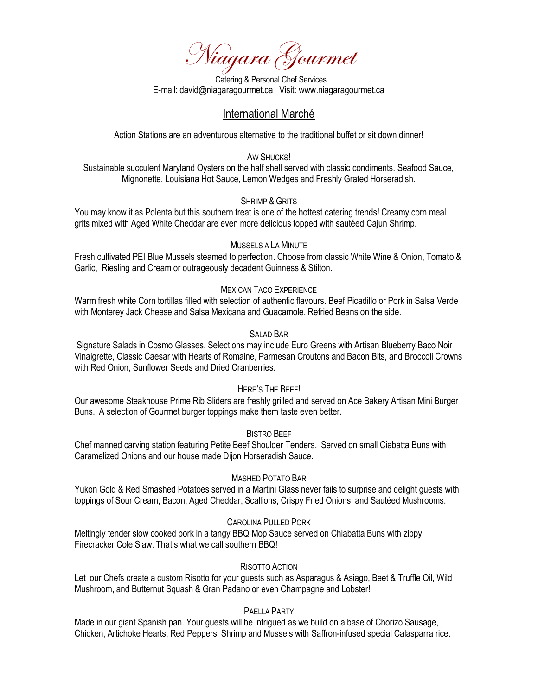Niagara Gourmet

 Catering & Personal Chef Services E-mail: david@niagaragourmet.ca Visit: www.niagaragourmet.ca

# International Marché

Action Stations are an adventurous alternative to the traditional buffet or sit down dinner!

AW SHUCKS!

Sustainable succulent Maryland Oysters on the half shell served with classic condiments. Seafood Sauce, Mignonette, Louisiana Hot Sauce, Lemon Wedges and Freshly Grated Horseradish.

### SHRIMP & GRITS

You may know it as Polenta but this southern treat is one of the hottest catering trends! Creamy corn meal grits mixed with Aged White Cheddar are even more delicious topped with sautéed Cajun Shrimp.

### MUSSELS A LA MINUTE

Fresh cultivated PEI Blue Mussels steamed to perfection. Choose from classic White Wine & Onion, Tomato & Garlic, Riesling and Cream or outrageously decadent Guinness & Stilton.

### MEXICAN TACO EXPERIENCE

Warm fresh white Corn tortillas filled with selection of authentic flavours. Beef Picadillo or Pork in Salsa Verde with Monterey Jack Cheese and Salsa Mexicana and Guacamole. Refried Beans on the side.

## SALAD BAR

Signature Salads in Cosmo Glasses. Selections may include Euro Greens with Artisan Blueberry Baco Noir Vinaigrette, Classic Caesar with Hearts of Romaine, Parmesan Croutons and Bacon Bits, and Broccoli Crowns with Red Onion, Sunflower Seeds and Dried Cranberries.

#### HERE'S THE BEEF!

Our awesome Steakhouse Prime Rib Sliders are freshly grilled and served on Ace Bakery Artisan Mini Burger Buns. A selection of Gourmet burger toppings make them taste even better.

#### BISTRO BEEF

Chef manned carving station featuring Petite Beef Shoulder Tenders. Served on small Ciabatta Buns with Caramelized Onions and our house made Dijon Horseradish Sauce.

### MASHED POTATO BAR

Yukon Gold & Red Smashed Potatoes served in a Martini Glass never fails to surprise and delight guests with toppings of Sour Cream, Bacon, Aged Cheddar, Scallions, Crispy Fried Onions, and Sautéed Mushrooms.

### CAROLINA PULLED PORK

Meltingly tender slow cooked pork in a tangy BBQ Mop Sauce served on Chiabatta Buns with zippy Firecracker Cole Slaw. That's what we call southern BBQ!

## RISOTTO ACTION

Let our Chefs create a custom Risotto for your guests such as Asparagus & Asiago, Beet & Truffle Oil, Wild Mushroom, and Butternut Squash & Gran Padano or even Champagne and Lobster!

### PAELLA PARTY

Made in our giant Spanish pan. Your guests will be intrigued as we build on a base of Chorizo Sausage, Chicken, Artichoke Hearts, Red Peppers, Shrimp and Mussels with Saffron-infused special Calasparra rice.